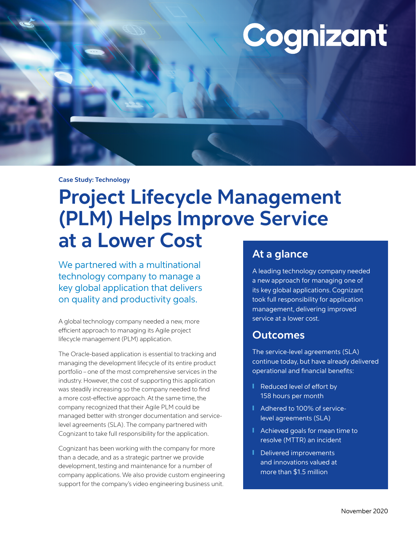# Cognizant

#### **Case Study: Technology**

# **Project Lifecycle Management (PLM) Helps Improve Service at a Lower Cost**

We partnered with a multinational technology company to manage a key global application that delivers on quality and productivity goals.

A global technology company needed a new, more efficient approach to managing its Agile project lifecycle management (PLM) application.

The Oracle-based application is essential to tracking and managing the development lifecycle of its entire product portfolio – one of the most comprehensive services in the industry. However, the cost of supporting this application was steadily increasing so the company needed to find a more cost-effective approach. At the same time, the company recognized that their Agile PLM could be managed better with stronger documentation and servicelevel agreements (SLA). The company partnered with Cognizant to take full responsibility for the application.

Cognizant has been working with the company for more than a decade, and as a strategic partner we provide development, testing and maintenance for a number of company applications. We also provide custom engineering support for the company's video engineering business unit.

# **At a glance**

A leading technology company needed a new approach for managing one of its key global applications. Cognizant took full responsibility for application management, delivering improved service at a lower cost.

### **Outcomes**

The service-level agreements (SLA) continue today, but have already delivered operational and financial benefits:

- Reduced level of effort by 158 hours per month
- Adhered to 100% of servicelevel agreements (SLA)
- Achieved goals for mean time to resolve (MTTR) an incident
- Delivered improvements and innovations valued at more than \$1.5 million